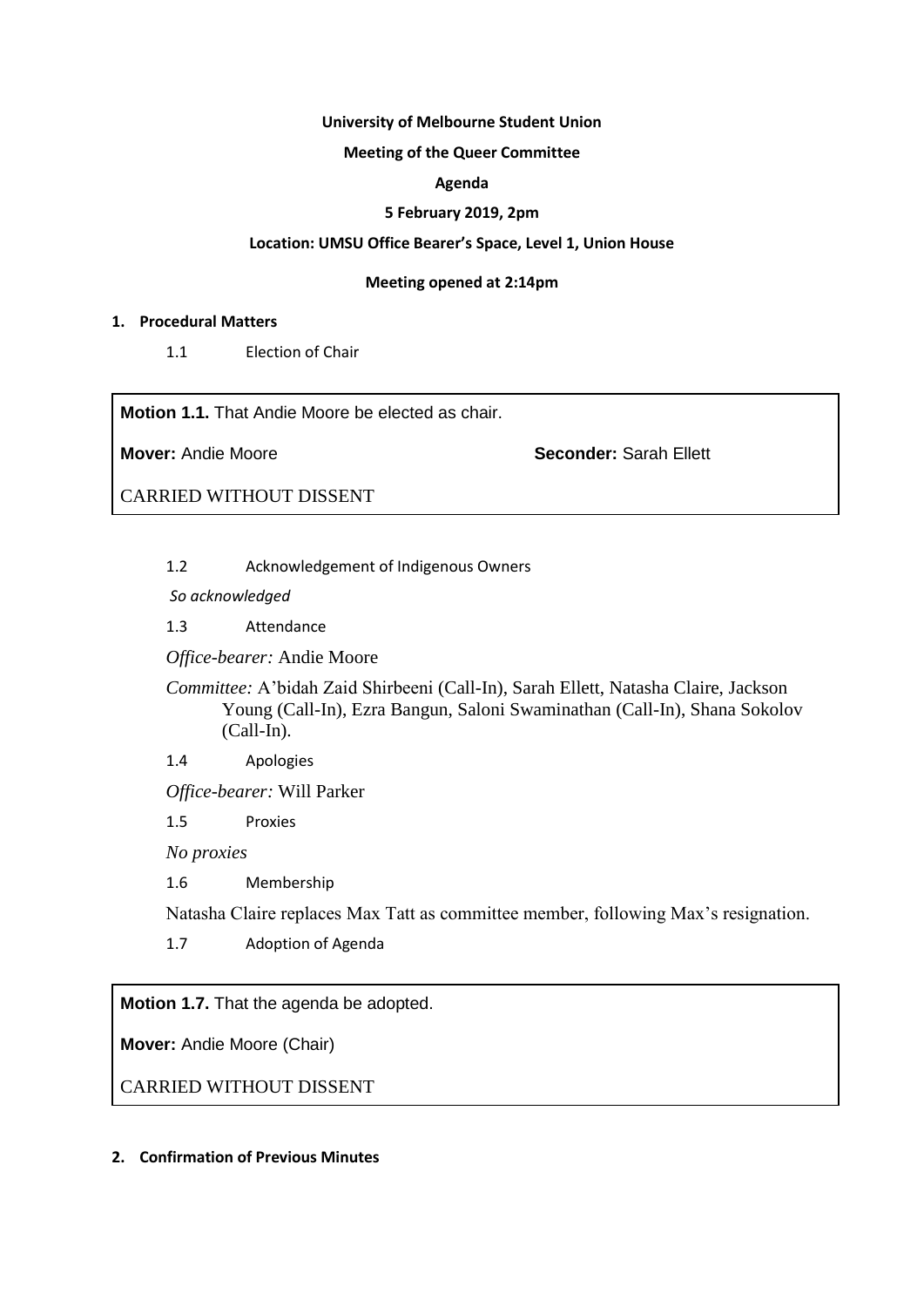#### **University of Melbourne Student Union**

### **Meeting of the Queer Committee**

### **Agenda**

### **5 February 2019, 2pm**

#### **Location: UMSU Office Bearer's Space, Level 1, Union House**

#### **Meeting opened at 2:14pm**

### **1. Procedural Matters**

1.1 Election of Chair

**Motion 1.1.** That Andie Moore be elected as chair.

**Mover:** Andie Moore **Seconder:** Sarah Ellett

CARRIED WITHOUT DISSENT

1.2 Acknowledgement of Indigenous Owners

*So acknowledged*

1.3 Attendance

*Office-bearer:* Andie Moore

*Committee:* A'bidah Zaid Shirbeeni (Call-In), Sarah Ellett, Natasha Claire, Jackson Young (Call-In), Ezra Bangun, Saloni Swaminathan (Call-In), Shana Sokolov (Call-In).

1.4 Apologies

*Office-bearer:* Will Parker

1.5 Proxies

*No proxies*

1.6 Membership

Natasha Claire replaces Max Tatt as committee member, following Max's resignation.

1.7 Adoption of Agenda

**Motion 1.7.** That the agenda be adopted.

**Mover:** Andie Moore (Chair)

CARRIED WITHOUT DISSENT

# **2. Confirmation of Previous Minutes**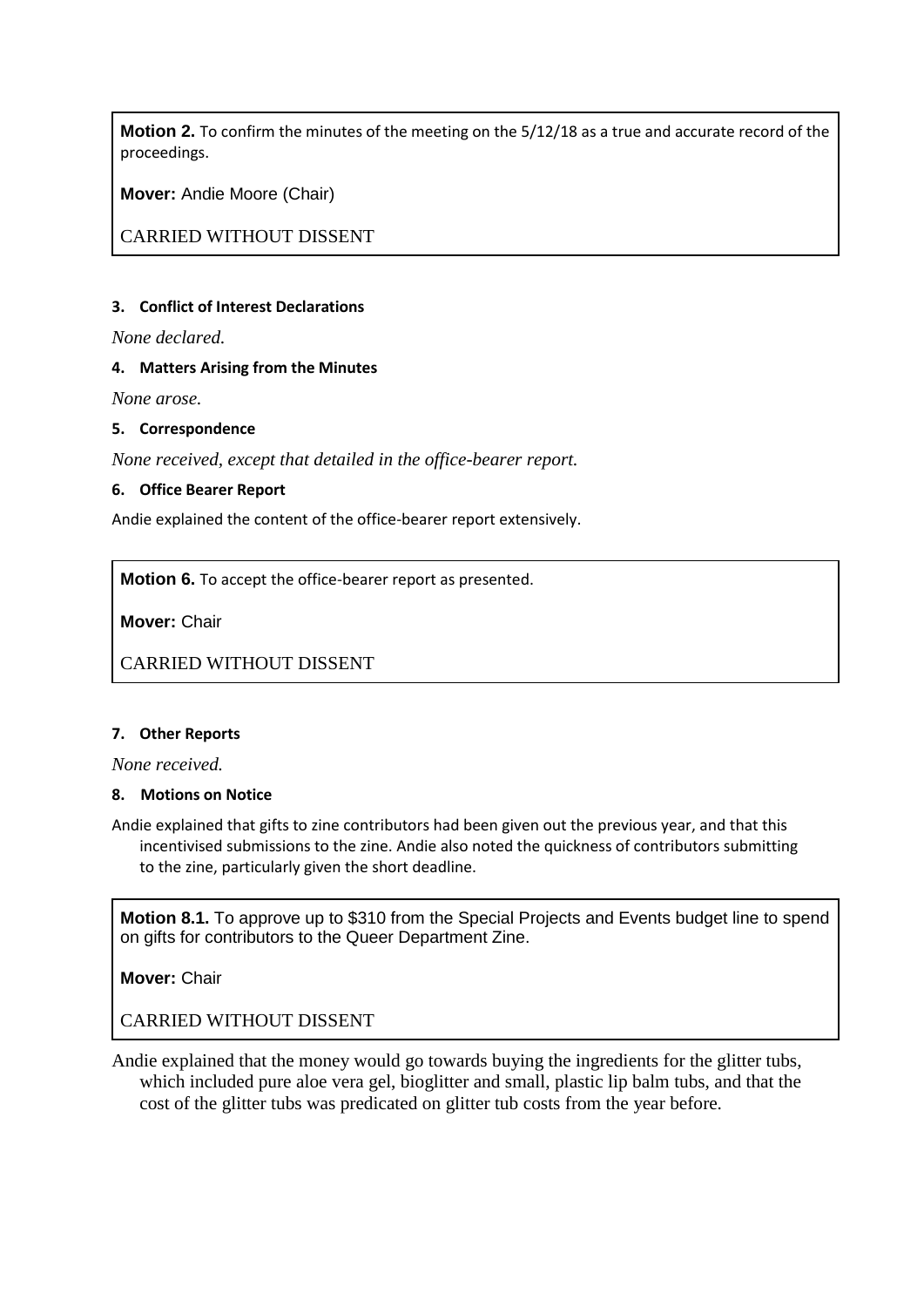**Motion 2.** To confirm the minutes of the meeting on the 5/12/18 as a true and accurate record of the proceedings.

**Mover:** Andie Moore (Chair)

CARRIED WITHOUT DISSENT

### **3. Conflict of Interest Declarations**

*None declared.*

# **4. Matters Arising from the Minutes**

*None arose.*

### **5. Correspondence**

*None received, except that detailed in the office-bearer report.*

# **6. Office Bearer Report**

Andie explained the content of the office-bearer report extensively.

**Motion 6.** To accept the office-bearer report as presented.

**Mover:** Chair

CARRIED WITHOUT DISSENT

### **7. Other Reports**

*None received.*

# **8. Motions on Notice**

Andie explained that gifts to zine contributors had been given out the previous year, and that this incentivised submissions to the zine. Andie also noted the quickness of contributors submitting to the zine, particularly given the short deadline.

**Motion 8.1.** To approve up to \$310 from the Special Projects and Events budget line to spend on gifts for contributors to the Queer Department Zine.

**Mover:** Chair

CARRIED WITHOUT DISSENT

Andie explained that the money would go towards buying the ingredients for the glitter tubs, which included pure aloe vera gel, bioglitter and small, plastic lip balm tubs, and that the cost of the glitter tubs was predicated on glitter tub costs from the year before.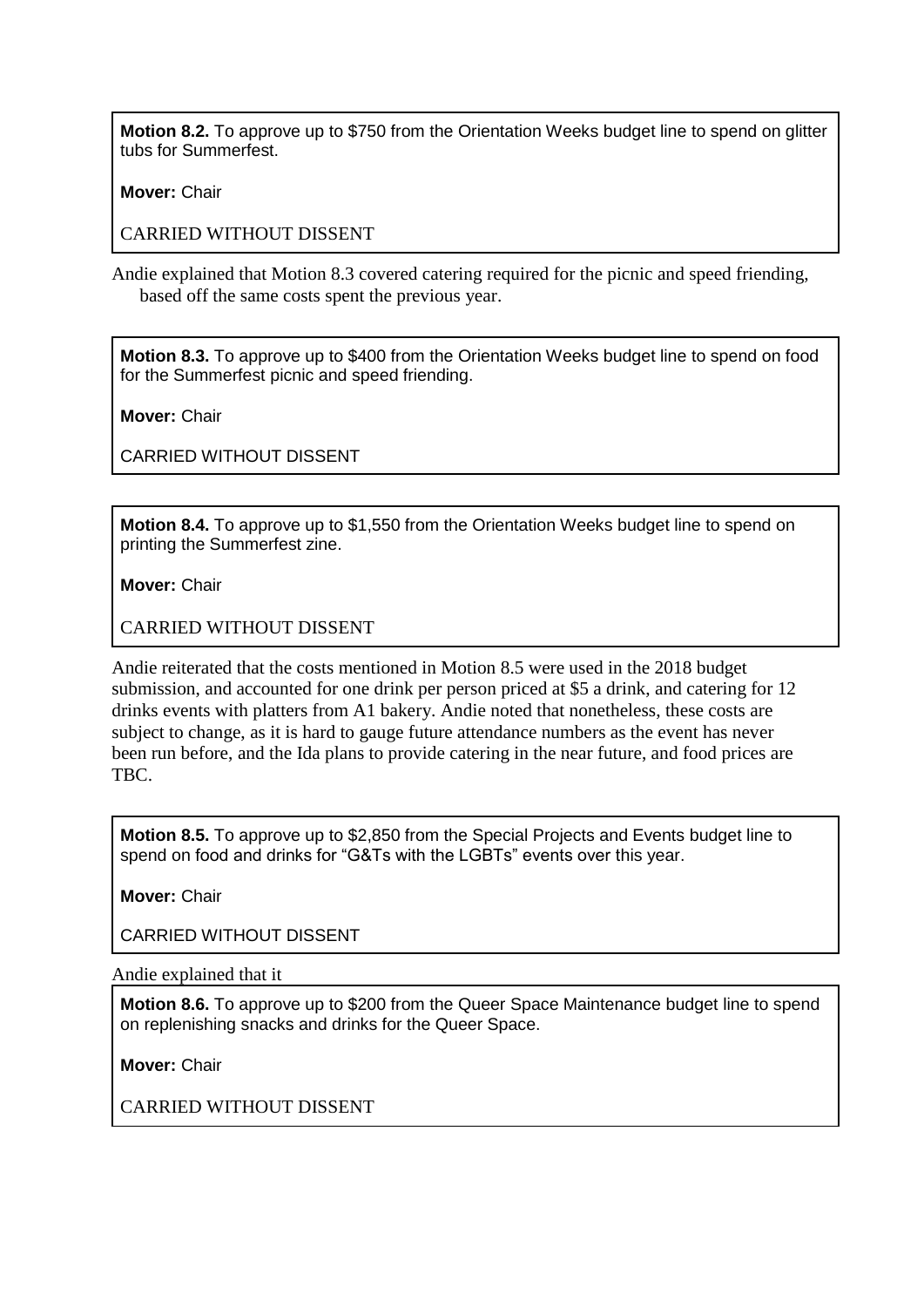**Motion 8.2.** To approve up to \$750 from the Orientation Weeks budget line to spend on glitter tubs for Summerfest.

**Mover:** Chair

CARRIED WITHOUT DISSENT

Andie explained that Motion 8.3 covered catering required for the picnic and speed friending, based off the same costs spent the previous year.

**Motion 8.3.** To approve up to \$400 from the Orientation Weeks budget line to spend on food for the Summerfest picnic and speed friending.

**Mover:** Chair

CARRIED WITHOUT DISSENT

**Motion 8.4.** To approve up to \$1,550 from the Orientation Weeks budget line to spend on printing the Summerfest zine.

**Mover:** Chair

CARRIED WITHOUT DISSENT

Andie reiterated that the costs mentioned in Motion 8.5 were used in the 2018 budget submission, and accounted for one drink per person priced at \$5 a drink, and catering for 12 drinks events with platters from A1 bakery. Andie noted that nonetheless, these costs are subject to change, as it is hard to gauge future attendance numbers as the event has never been run before, and the Ida plans to provide catering in the near future, and food prices are TBC.

**Motion 8.5.** To approve up to \$2,850 from the Special Projects and Events budget line to spend on food and drinks for "G&Ts with the LGBTs" events over this year.

**Mover:** Chair

CARRIED WITHOUT DISSENT

Andie explained that it

**Motion 8.6.** To approve up to \$200 from the Queer Space Maintenance budget line to spend on replenishing snacks and drinks for the Queer Space.

**Mover:** Chair

CARRIED WITHOUT DISSENT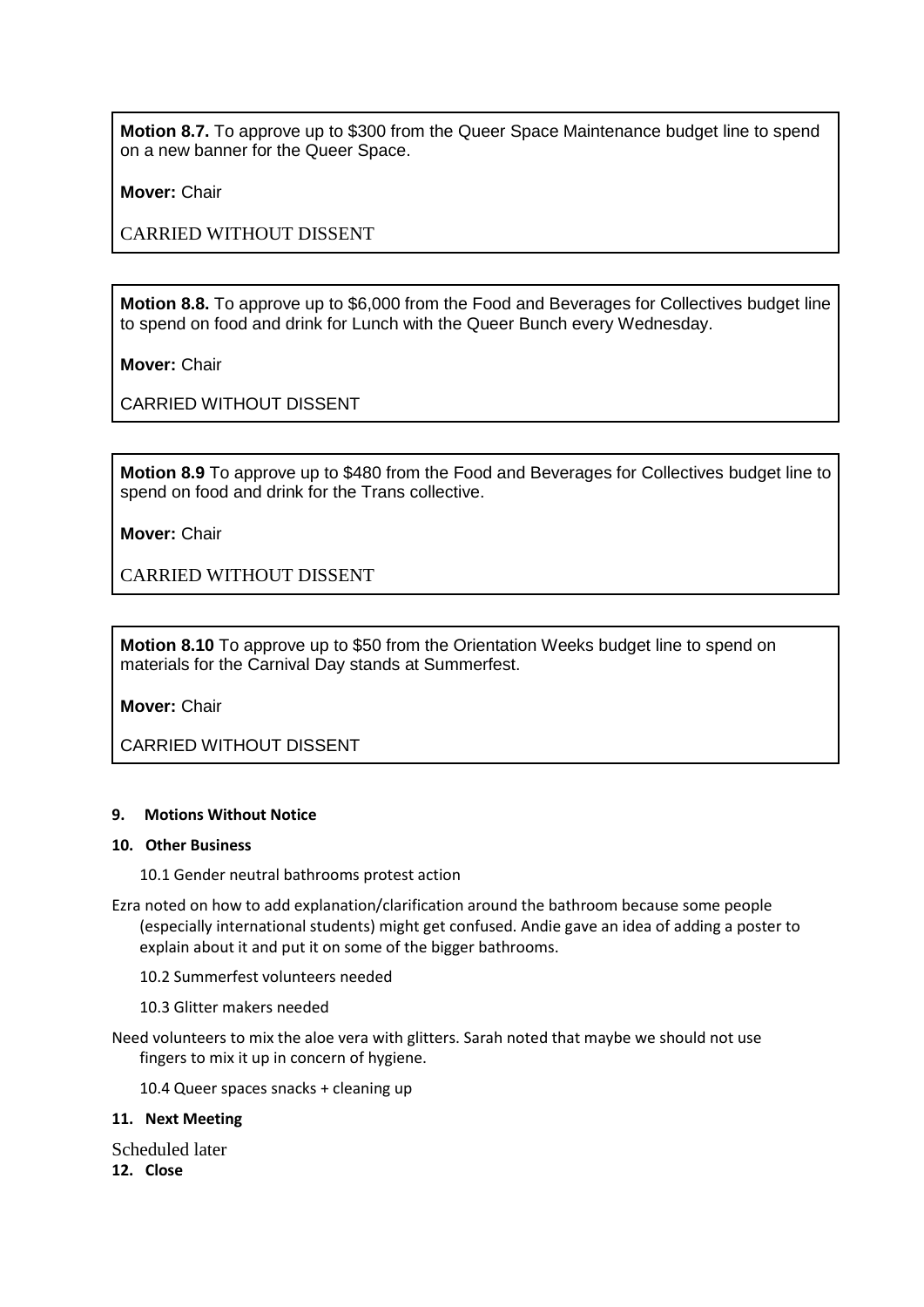**Motion 8.7.** To approve up to \$300 from the Queer Space Maintenance budget line to spend on a new banner for the Queer Space.

**Mover:** Chair

CARRIED WITHOUT DISSENT

**Motion 8.8.** To approve up to \$6,000 from the Food and Beverages for Collectives budget line to spend on food and drink for Lunch with the Queer Bunch every Wednesday.

**Mover:** Chair

CARRIED WITHOUT DISSENT

**Motion 8.9** To approve up to \$480 from the Food and Beverages for Collectives budget line to spend on food and drink for the Trans collective.

**Mover:** Chair

CARRIED WITHOUT DISSENT

**Motion 8.10** To approve up to \$50 from the Orientation Weeks budget line to spend on materials for the Carnival Day stands at Summerfest.

**Mover:** Chair

CARRIED WITHOUT DISSENT

### **9. Motions Without Notice**

#### **10. Other Business**

10.1 Gender neutral bathrooms protest action

- Ezra noted on how to add explanation/clarification around the bathroom because some people (especially international students) might get confused. Andie gave an idea of adding a poster to explain about it and put it on some of the bigger bathrooms.
	- 10.2 Summerfest volunteers needed
	- 10.3 Glitter makers needed
- Need volunteers to mix the aloe vera with glitters. Sarah noted that maybe we should not use fingers to mix it up in concern of hygiene.

10.4 Queer spaces snacks + cleaning up

### **11. Next Meeting**

Scheduled later **12. Close**